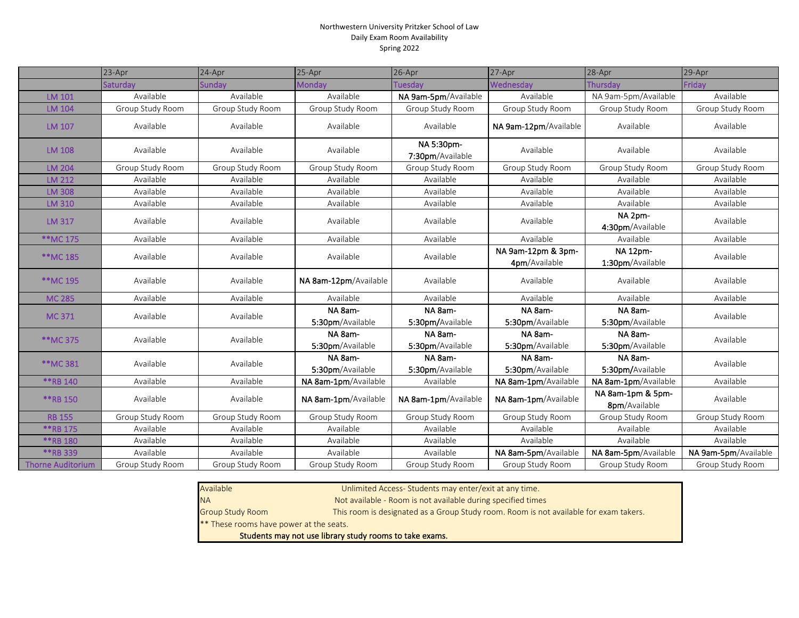## Northwestern University Pritzker School of Law Daily Exam Room Availability Spring 2022

|                          | 23-Apr           | 24-Apr           | 25-Apr                      | 26-Apr                         | 27-Apr                              | 28-Apr                              | 29-Apr               |
|--------------------------|------------------|------------------|-----------------------------|--------------------------------|-------------------------------------|-------------------------------------|----------------------|
|                          | Saturdav         | Sundav           | Mondav                      | <b>Tuesdav</b>                 | Wednesdav                           | <b>Thursdav</b>                     | Fridav               |
| LM 101                   | Available        | Available        | Available                   | NA 9am-5pm/Available           | Available                           | NA 9am-5pm/Available                | Available            |
| LM 104                   | Group Study Room | Group Study Room | Group Study Room            | Group Study Room               | Group Study Room                    | Group Study Room                    | Group Study Room     |
| LM 107                   | Available        | Available        | Available                   | Available                      | NA 9am-12pm/Available               | Available                           | Available            |
| <b>LM 108</b>            | Available        | Available        | Available                   | NA 5:30pm-<br>7:30pm/Available | Available                           | Available                           | Available            |
| <b>LM 204</b>            | Group Study Room | Group Study Room | Group Study Room            | Group Study Room               | Group Study Room                    | Group Study Room                    | Group Study Room     |
| <b>LM 212</b>            | Available        | Available        | Available                   | Available                      | Available                           | Available                           | Available            |
| <b>LM 308</b>            | Available        | Available        | Available                   | Available                      | Available                           | Available                           | Available            |
| LM 310                   | Available        | Available        | Available                   | Available                      | Available                           | Available                           | Available            |
| <b>LM 317</b>            | Available        | Available        | Available                   | Available                      | Available                           | NA 2pm-<br>4:30pm/Available         | Available            |
| **MC 175                 | Available        | Available        | Available                   | Available                      | Available                           | Available                           | Available            |
| **MC 185                 | Available        | Available        | Available                   | Available                      | NA 9am-12pm & 3pm-<br>4pm/Available | <b>NA 12pm-</b><br>1:30pm/Available | Available            |
| **MC 195                 | Available        | Available        | NA 8am-12pm/Available       | Available                      | Available                           | Available                           | Available            |
| <b>MC 285</b>            | Available        | Available        | Available                   | Available                      | Available                           | Available                           | Available            |
| <b>MC371</b>             | Available        | Available        | NA 8am-                     | NA 8am-                        | NA 8am-                             | NA 8am-                             | Available            |
|                          |                  |                  | 5:30pm/Available            | 5:30pm/Available               | 5:30pm/Available                    | 5:30pm/Available                    |                      |
| **MC 375                 | Available        | Available        | NA 8am-<br>5:30pm/Available | NA 8am-<br>5:30pm/Available    | NA 8am-<br>5:30pm/Available         | NA 8am-<br>5:30pm/Available         | Available            |
| **MC 381                 | Available        | Available        | NA 8am-<br>5:30pm/Available | NA 8am-<br>5:30pm/Available    | NA 8am-<br>5:30pm/Available         | NA 8am-<br>5:30pm/Available         | Available            |
| **RB 140                 | Available        | Available        | NA 8am-1pm/Available        | Available                      | NA 8am-1pm/Available                | NA 8am-1pm/Available                | Available            |
| **RB 150                 | Available        | Available        | NA 8am-1pm/Available        | NA 8am-1pm/Available           | NA 8am-1pm/Available                | NA 8am-1pm & 5pm-<br>8pm/Available  | Available            |
| <b>RB 155</b>            | Group Study Room | Group Study Room | Group Study Room            | Group Study Room               | Group Study Room                    | Group Study Room                    | Group Study Room     |
| **RB 175                 | Available        | Available        | Available                   | Available                      | Available                           | Available                           | Available            |
| **RB 180                 | Available        | Available        | Available                   | Available                      | Available                           | Available                           | Available            |
| **RB 339                 | Available        | Available        | Available                   | Available                      | NA 8am-5pm/Available                | NA 8am-5pm/Available                | NA 9am-5pm/Available |
| <b>Thorne Auditorium</b> | Group Study Room | Group Study Room | Group Study Room            | Group Study Room               | Group Study Room                    | Group Study Room                    | Group Study Room     |

Available

Unlimited Access- Students may enter/exit at any time.

NA

Group Study Room

Not available - Room is not available during specified times

This room is designated as a Group Study room. Room is not available for exam takers.

\*\* These rooms have power at the seats.

Students may not use library study rooms to take exams.